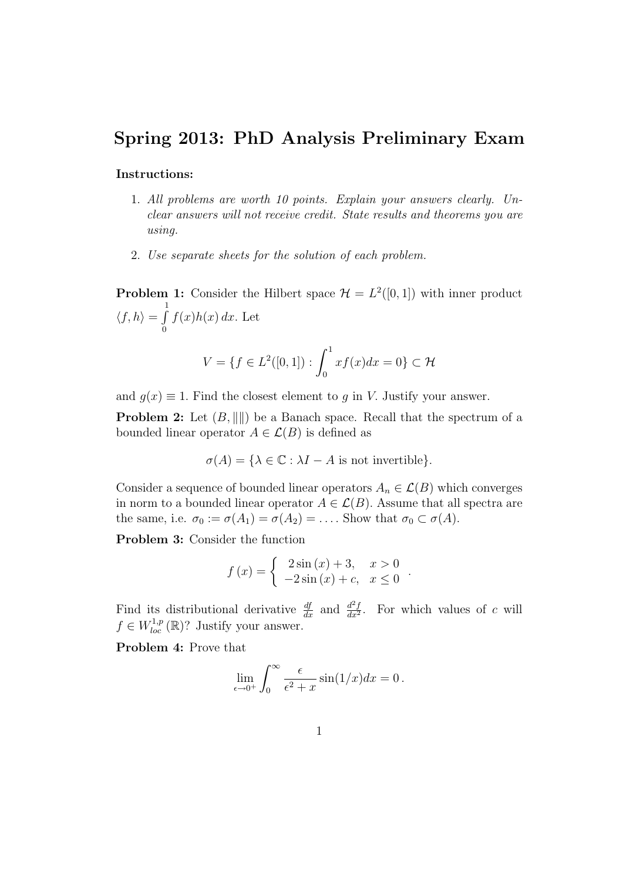## Spring 2013: PhD Analysis Preliminary Exam

## Instructions:

- 1. All problems are worth 10 points. Explain your answers clearly. Unclear answers will not receive credit. State results and theorems you are using.
- 2. Use separate sheets for the solution of each problem.

**Problem 1:** Consider the Hilbert space  $\mathcal{H} = L^2([0,1])$  with inner product  $\langle f, h \rangle = \int_0^1$ 0  $f(x)h(x) dx$ . Let

$$
V = \{ f \in L^{2}([0, 1]) : \int_{0}^{1} x f(x) dx = 0 \} \subset \mathcal{H}
$$

and  $q(x) \equiv 1$ . Find the closest element to q in V. Justify your answer.

**Problem 2:** Let  $(B, \| \|)$  be a Banach space. Recall that the spectrum of a bounded linear operator  $A \in \mathcal{L}(B)$  is defined as

$$
\sigma(A) = \{ \lambda \in \mathbb{C} : \lambda I - A \text{ is not invertible} \}.
$$

Consider a sequence of bounded linear operators  $A_n \in \mathcal{L}(B)$  which converges in norm to a bounded linear operator  $A \in \mathcal{L}(B)$ . Assume that all spectra are the same, i.e.  $\sigma_0 := \sigma(A_1) = \sigma(A_2) = \dots$ . Show that  $\sigma_0 \subset \sigma(A)$ .

Problem 3: Consider the function

$$
f(x) = \begin{cases} 2\sin(x) + 3, & x > 0 \\ -2\sin(x) + c, & x \le 0 \end{cases}.
$$

Find its distributional derivative  $\frac{df}{dx}$  and  $\frac{d^2f}{dx^2}$  $\frac{d^2f}{dx^2}$ . For which values of c will  $f \in W_{loc}^{1,p}(\mathbb{R})$ ? Justify your answer.

Problem 4: Prove that

$$
\lim_{\epsilon \to 0^+} \int_0^\infty \frac{\epsilon}{\epsilon^2 + x} \sin(1/x) dx = 0.
$$